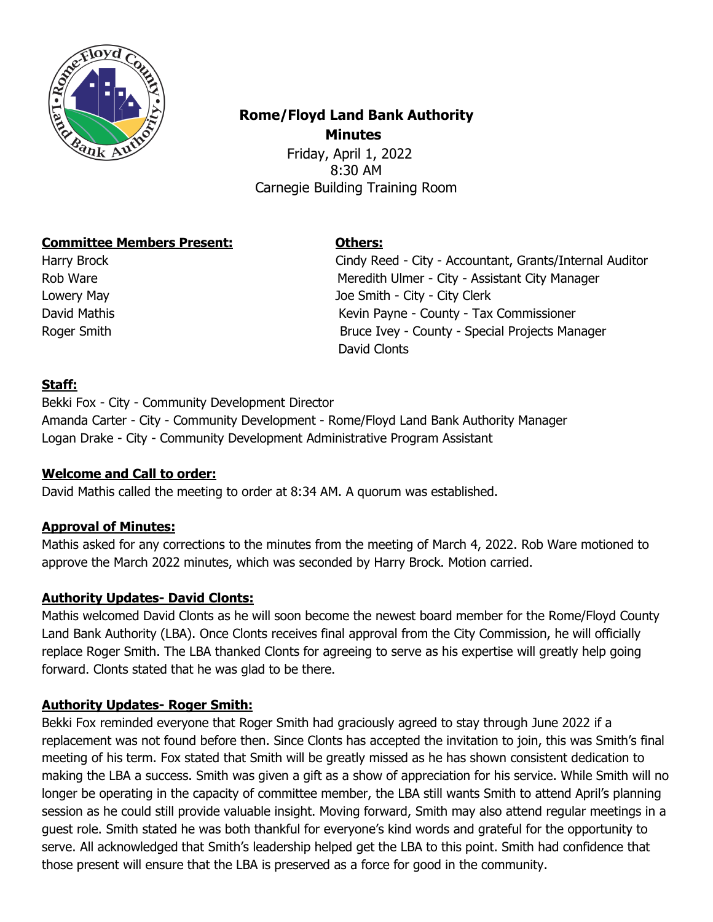

# **Rome/Floyd Land Bank Authority Minutes**

 Friday, April 1, 2022 8:30 AM Carnegie Building Training Room

### **Committee Members Present: Others:**

Harry Brock Cindy Reed - City - Accountant, Grants/Internal Auditor Rob Ware **Meredith Ulmer - City - Assistant City Manager** Meredith Ulmer - City - Assistant City Manager Lowery May Joe Smith - City - City Clerk David Mathis Kevin Payne - County - Tax Commissioner Roger Smith **Bruce Ivey - County - Special Projects Manager** David Clonts

### **Staff:**

Bekki Fox - City - Community Development Director Amanda Carter - City - Community Development - Rome/Floyd Land Bank Authority Manager Logan Drake - City - Community Development Administrative Program Assistant

#### **Welcome and Call to order:**

David Mathis called the meeting to order at 8:34 AM. A quorum was established.

# **Approval of Minutes:**

Mathis asked for any corrections to the minutes from the meeting of March 4, 2022. Rob Ware motioned to approve the March 2022 minutes, which was seconded by Harry Brock. Motion carried.

# **Authority Updates- David Clonts:**

Mathis welcomed David Clonts as he will soon become the newest board member for the Rome/Floyd County Land Bank Authority (LBA). Once Clonts receives final approval from the City Commission, he will officially replace Roger Smith. The LBA thanked Clonts for agreeing to serve as his expertise will greatly help going forward. Clonts stated that he was glad to be there.

#### **Authority Updates- Roger Smith:**

Bekki Fox reminded everyone that Roger Smith had graciously agreed to stay through June 2022 if a replacement was not found before then. Since Clonts has accepted the invitation to join, this was Smith's final meeting of his term. Fox stated that Smith will be greatly missed as he has shown consistent dedication to making the LBA a success. Smith was given a gift as a show of appreciation for his service. While Smith will no longer be operating in the capacity of committee member, the LBA still wants Smith to attend April's planning session as he could still provide valuable insight. Moving forward, Smith may also attend regular meetings in a guest role. Smith stated he was both thankful for everyone's kind words and grateful for the opportunity to serve. All acknowledged that Smith's leadership helped get the LBA to this point. Smith had confidence that those present will ensure that the LBA is preserved as a force for good in the community.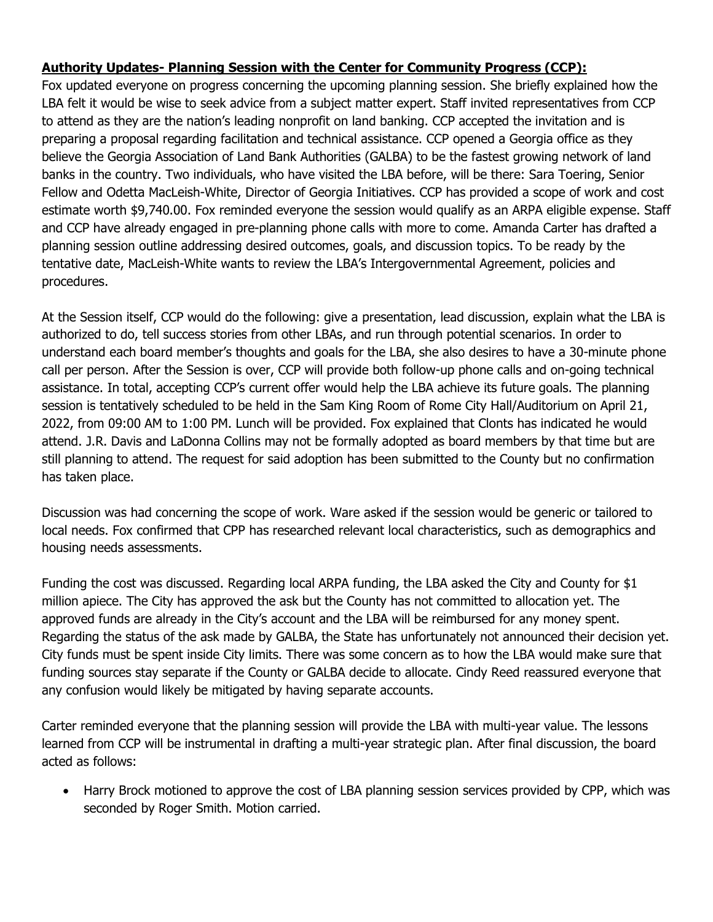# **Authority Updates- Planning Session with the Center for Community Progress (CCP):**

Fox updated everyone on progress concerning the upcoming planning session. She briefly explained how the LBA felt it would be wise to seek advice from a subject matter expert. Staff invited representatives from CCP to attend as they are the nation's leading nonprofit on land banking. CCP accepted the invitation and is preparing a proposal regarding facilitation and technical assistance. CCP opened a Georgia office as they believe the Georgia Association of Land Bank Authorities (GALBA) to be the fastest growing network of land banks in the country. Two individuals, who have visited the LBA before, will be there: Sara Toering, Senior Fellow and Odetta MacLeish-White, Director of Georgia Initiatives. CCP has provided a scope of work and cost estimate worth \$9,740.00. Fox reminded everyone the session would qualify as an ARPA eligible expense. Staff and CCP have already engaged in pre-planning phone calls with more to come. Amanda Carter has drafted a planning session outline addressing desired outcomes, goals, and discussion topics. To be ready by the tentative date, MacLeish-White wants to review the LBA's Intergovernmental Agreement, policies and procedures.

At the Session itself, CCP would do the following: give a presentation, lead discussion, explain what the LBA is authorized to do, tell success stories from other LBAs, and run through potential scenarios. In order to understand each board member's thoughts and goals for the LBA, she also desires to have a 30-minute phone call per person. After the Session is over, CCP will provide both follow-up phone calls and on-going technical assistance. In total, accepting CCP's current offer would help the LBA achieve its future goals. The planning session is tentatively scheduled to be held in the Sam King Room of Rome City Hall/Auditorium on April 21, 2022, from 09:00 AM to 1:00 PM. Lunch will be provided. Fox explained that Clonts has indicated he would attend. J.R. Davis and LaDonna Collins may not be formally adopted as board members by that time but are still planning to attend. The request for said adoption has been submitted to the County but no confirmation has taken place.

Discussion was had concerning the scope of work. Ware asked if the session would be generic or tailored to local needs. Fox confirmed that CPP has researched relevant local characteristics, such as demographics and housing needs assessments.

Funding the cost was discussed. Regarding local ARPA funding, the LBA asked the City and County for \$1 million apiece. The City has approved the ask but the County has not committed to allocation yet. The approved funds are already in the City's account and the LBA will be reimbursed for any money spent. Regarding the status of the ask made by GALBA, the State has unfortunately not announced their decision yet. City funds must be spent inside City limits. There was some concern as to how the LBA would make sure that funding sources stay separate if the County or GALBA decide to allocate. Cindy Reed reassured everyone that any confusion would likely be mitigated by having separate accounts.

Carter reminded everyone that the planning session will provide the LBA with multi-year value. The lessons learned from CCP will be instrumental in drafting a multi-year strategic plan. After final discussion, the board acted as follows:

• Harry Brock motioned to approve the cost of LBA planning session services provided by CPP, which was seconded by Roger Smith. Motion carried.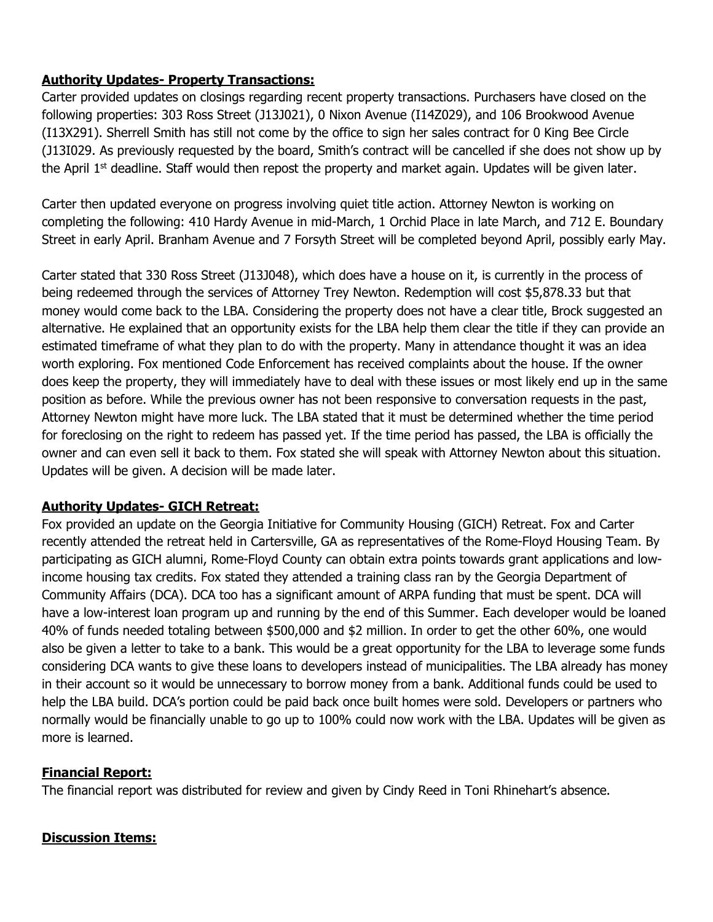# **Authority Updates- Property Transactions:**

Carter provided updates on closings regarding recent property transactions. Purchasers have closed on the following properties: 303 Ross Street (J13J021), 0 Nixon Avenue (I14Z029), and 106 Brookwood Avenue (I13X291). Sherrell Smith has still not come by the office to sign her sales contract for 0 King Bee Circle (J13I029. As previously requested by the board, Smith's contract will be cancelled if she does not show up by the April  $1<sup>st</sup>$  deadline. Staff would then repost the property and market again. Updates will be given later.

Carter then updated everyone on progress involving quiet title action. Attorney Newton is working on completing the following: 410 Hardy Avenue in mid-March, 1 Orchid Place in late March, and 712 E. Boundary Street in early April. Branham Avenue and 7 Forsyth Street will be completed beyond April, possibly early May.

Carter stated that 330 Ross Street (J13J048), which does have a house on it, is currently in the process of being redeemed through the services of Attorney Trey Newton. Redemption will cost \$5,878.33 but that money would come back to the LBA. Considering the property does not have a clear title, Brock suggested an alternative. He explained that an opportunity exists for the LBA help them clear the title if they can provide an estimated timeframe of what they plan to do with the property. Many in attendance thought it was an idea worth exploring. Fox mentioned Code Enforcement has received complaints about the house. If the owner does keep the property, they will immediately have to deal with these issues or most likely end up in the same position as before. While the previous owner has not been responsive to conversation requests in the past, Attorney Newton might have more luck. The LBA stated that it must be determined whether the time period for foreclosing on the right to redeem has passed yet. If the time period has passed, the LBA is officially the owner and can even sell it back to them. Fox stated she will speak with Attorney Newton about this situation. Updates will be given. A decision will be made later.

# **Authority Updates- GICH Retreat:**

Fox provided an update on the Georgia Initiative for Community Housing (GICH) Retreat. Fox and Carter recently attended the retreat held in Cartersville, GA as representatives of the Rome-Floyd Housing Team. By participating as GICH alumni, Rome-Floyd County can obtain extra points towards grant applications and lowincome housing tax credits. Fox stated they attended a training class ran by the Georgia Department of Community Affairs (DCA). DCA too has a significant amount of ARPA funding that must be spent. DCA will have a low-interest loan program up and running by the end of this Summer. Each developer would be loaned 40% of funds needed totaling between \$500,000 and \$2 million. In order to get the other 60%, one would also be given a letter to take to a bank. This would be a great opportunity for the LBA to leverage some funds considering DCA wants to give these loans to developers instead of municipalities. The LBA already has money in their account so it would be unnecessary to borrow money from a bank. Additional funds could be used to help the LBA build. DCA's portion could be paid back once built homes were sold. Developers or partners who normally would be financially unable to go up to 100% could now work with the LBA. Updates will be given as more is learned.

# **Financial Report:**

The financial report was distributed for review and given by Cindy Reed in Toni Rhinehart's absence.

#### **Discussion Items:**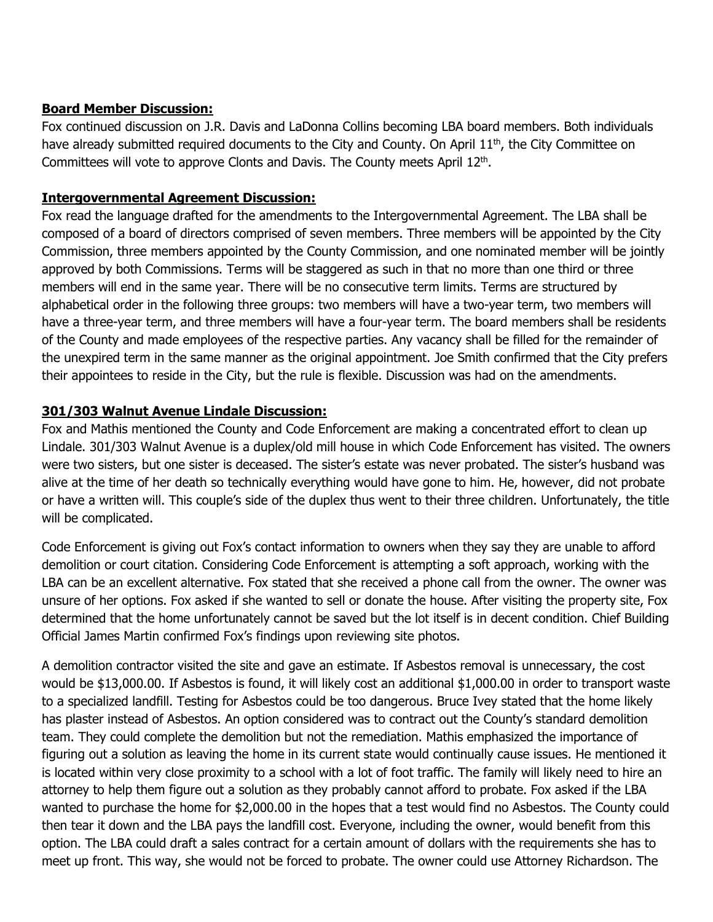#### **Board Member Discussion:**

Fox continued discussion on J.R. Davis and LaDonna Collins becoming LBA board members. Both individuals have already submitted required documents to the City and County. On April  $11<sup>th</sup>$ , the City Committee on Committees will vote to approve Clonts and Davis. The County meets April 12<sup>th</sup>.

#### **Intergovernmental Agreement Discussion:**

Fox read the language drafted for the amendments to the Intergovernmental Agreement. The LBA shall be composed of a board of directors comprised of seven members. Three members will be appointed by the City Commission, three members appointed by the County Commission, and one nominated member will be jointly approved by both Commissions. Terms will be staggered as such in that no more than one third or three members will end in the same year. There will be no consecutive term limits. Terms are structured by alphabetical order in the following three groups: two members will have a two-year term, two members will have a three-year term, and three members will have a four-year term. The board members shall be residents of the County and made employees of the respective parties. Any vacancy shall be filled for the remainder of the unexpired term in the same manner as the original appointment. Joe Smith confirmed that the City prefers their appointees to reside in the City, but the rule is flexible. Discussion was had on the amendments.

### **301/303 Walnut Avenue Lindale Discussion:**

Fox and Mathis mentioned the County and Code Enforcement are making a concentrated effort to clean up Lindale. 301/303 Walnut Avenue is a duplex/old mill house in which Code Enforcement has visited. The owners were two sisters, but one sister is deceased. The sister's estate was never probated. The sister's husband was alive at the time of her death so technically everything would have gone to him. He, however, did not probate or have a written will. This couple's side of the duplex thus went to their three children. Unfortunately, the title will be complicated.

Code Enforcement is giving out Fox's contact information to owners when they say they are unable to afford demolition or court citation. Considering Code Enforcement is attempting a soft approach, working with the LBA can be an excellent alternative. Fox stated that she received a phone call from the owner. The owner was unsure of her options. Fox asked if she wanted to sell or donate the house. After visiting the property site, Fox determined that the home unfortunately cannot be saved but the lot itself is in decent condition. Chief Building Official James Martin confirmed Fox's findings upon reviewing site photos.

A demolition contractor visited the site and gave an estimate. If Asbestos removal is unnecessary, the cost would be \$13,000.00. If Asbestos is found, it will likely cost an additional \$1,000.00 in order to transport waste to a specialized landfill. Testing for Asbestos could be too dangerous. Bruce Ivey stated that the home likely has plaster instead of Asbestos. An option considered was to contract out the County's standard demolition team. They could complete the demolition but not the remediation. Mathis emphasized the importance of figuring out a solution as leaving the home in its current state would continually cause issues. He mentioned it is located within very close proximity to a school with a lot of foot traffic. The family will likely need to hire an attorney to help them figure out a solution as they probably cannot afford to probate. Fox asked if the LBA wanted to purchase the home for \$2,000.00 in the hopes that a test would find no Asbestos. The County could then tear it down and the LBA pays the landfill cost. Everyone, including the owner, would benefit from this option. The LBA could draft a sales contract for a certain amount of dollars with the requirements she has to meet up front. This way, she would not be forced to probate. The owner could use Attorney Richardson. The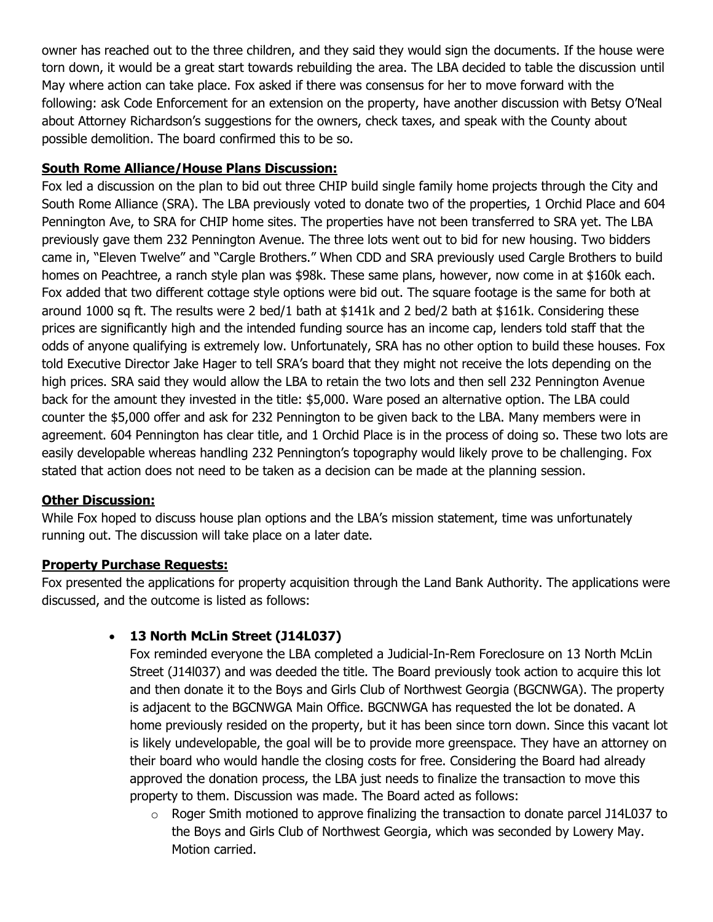owner has reached out to the three children, and they said they would sign the documents. If the house were torn down, it would be a great start towards rebuilding the area. The LBA decided to table the discussion until May where action can take place. Fox asked if there was consensus for her to move forward with the following: ask Code Enforcement for an extension on the property, have another discussion with Betsy O'Neal about Attorney Richardson's suggestions for the owners, check taxes, and speak with the County about possible demolition. The board confirmed this to be so.

### **South Rome Alliance/House Plans Discussion:**

Fox led a discussion on the plan to bid out three CHIP build single family home projects through the City and South Rome Alliance (SRA). The LBA previously voted to donate two of the properties, 1 Orchid Place and 604 Pennington Ave, to SRA for CHIP home sites. The properties have not been transferred to SRA yet. The LBA previously gave them 232 Pennington Avenue. The three lots went out to bid for new housing. Two bidders came in, "Eleven Twelve" and "Cargle Brothers." When CDD and SRA previously used Cargle Brothers to build homes on Peachtree, a ranch style plan was \$98k. These same plans, however, now come in at \$160k each. Fox added that two different cottage style options were bid out. The square footage is the same for both at around 1000 sq ft. The results were 2 bed/1 bath at \$141k and 2 bed/2 bath at \$161k. Considering these prices are significantly high and the intended funding source has an income cap, lenders told staff that the odds of anyone qualifying is extremely low. Unfortunately, SRA has no other option to build these houses. Fox told Executive Director Jake Hager to tell SRA's board that they might not receive the lots depending on the high prices. SRA said they would allow the LBA to retain the two lots and then sell 232 Pennington Avenue back for the amount they invested in the title: \$5,000. Ware posed an alternative option. The LBA could counter the \$5,000 offer and ask for 232 Pennington to be given back to the LBA. Many members were in agreement. 604 Pennington has clear title, and 1 Orchid Place is in the process of doing so. These two lots are easily developable whereas handling 232 Pennington's topography would likely prove to be challenging. Fox stated that action does not need to be taken as a decision can be made at the planning session.

#### **Other Discussion:**

While Fox hoped to discuss house plan options and the LBA's mission statement, time was unfortunately running out. The discussion will take place on a later date.

#### **Property Purchase Requests:**

Fox presented the applications for property acquisition through the Land Bank Authority. The applications were discussed, and the outcome is listed as follows:

# • **13 North McLin Street (J14L037)**

Fox reminded everyone the LBA completed a Judicial-In-Rem Foreclosure on 13 North McLin Street (J14l037) and was deeded the title. The Board previously took action to acquire this lot and then donate it to the Boys and Girls Club of Northwest Georgia (BGCNWGA). The property is adjacent to the BGCNWGA Main Office. BGCNWGA has requested the lot be donated. A home previously resided on the property, but it has been since torn down. Since this vacant lot is likely undevelopable, the goal will be to provide more greenspace. They have an attorney on their board who would handle the closing costs for free. Considering the Board had already approved the donation process, the LBA just needs to finalize the transaction to move this property to them. Discussion was made. The Board acted as follows:

 $\circ$  Roger Smith motioned to approve finalizing the transaction to donate parcel J14L037 to the Boys and Girls Club of Northwest Georgia, which was seconded by Lowery May. Motion carried.